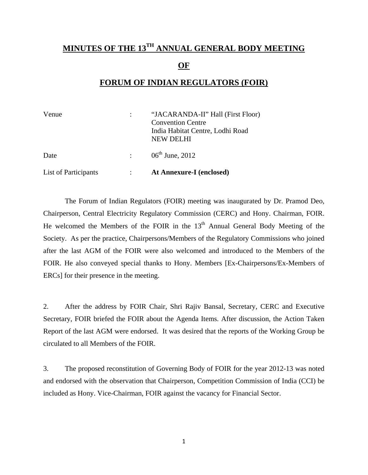### **MINUTES OF THE 13TH ANNUAL GENERAL BODY MEETING OF**

#### **FORUM OF INDIAN REGULATORS (FOIR)**

| Venue                |                | "JACARANDA-II" Hall (First Floor)<br><b>Convention Centre</b><br>India Habitat Centre, Lodhi Road<br><b>NEW DELHI</b> |
|----------------------|----------------|-----------------------------------------------------------------------------------------------------------------------|
| Date                 | $\mathbb{R}^n$ | $06^{\text{th}}$ June, 2012                                                                                           |
| List of Participants |                | At Annexure-I (enclosed)                                                                                              |

 The Forum of Indian Regulators (FOIR) meeting was inaugurated by Dr. Pramod Deo, Chairperson, Central Electricity Regulatory Commission (CERC) and Hony. Chairman, FOIR. He welcomed the Members of the FOIR in the  $13<sup>th</sup>$  Annual General Body Meeting of the Society. As per the practice, Chairpersons/Members of the Regulatory Commissions who joined after the last AGM of the FOIR were also welcomed and introduced to the Members of the FOIR. He also conveyed special thanks to Hony. Members [Ex-Chairpersons/Ex-Members of ERCs] for their presence in the meeting.

2. After the address by FOIR Chair, Shri Rajiv Bansal, Secretary, CERC and Executive Secretary, FOIR briefed the FOIR about the Agenda Items. After discussion, the Action Taken Report of the last AGM were endorsed. It was desired that the reports of the Working Group be circulated to all Members of the FOIR.

3. The proposed reconstitution of Governing Body of FOIR for the year 2012-13 was noted and endorsed with the observation that Chairperson, Competition Commission of India (CCI) be included as Hony. Vice-Chairman, FOIR against the vacancy for Financial Sector.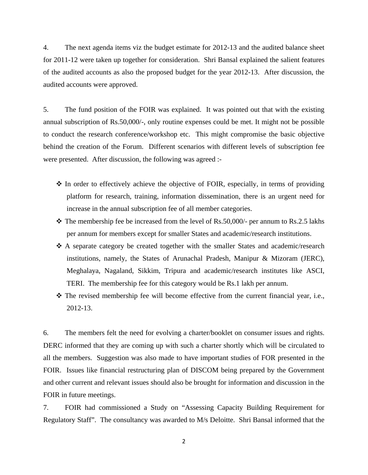4. The next agenda items viz the budget estimate for 2012-13 and the audited balance sheet for 2011-12 were taken up together for consideration. Shri Bansal explained the salient features of the audited accounts as also the proposed budget for the year 2012-13. After discussion, the audited accounts were approved.

5. The fund position of the FOIR was explained. It was pointed out that with the existing annual subscription of Rs.50,000/-, only routine expenses could be met. It might not be possible to conduct the research conference/workshop etc. This might compromise the basic objective behind the creation of the Forum. Different scenarios with different levels of subscription fee were presented. After discussion, the following was agreed :-

- $\cdot$  In order to effectively achieve the objective of FOIR, especially, in terms of providing platform for research, training, information dissemination, there is an urgent need for increase in the annual subscription fee of all member categories.
- $\div$  The membership fee be increased from the level of Rs.50,000/- per annum to Rs.2.5 lakhs per annum for members except for smaller States and academic/research institutions.
- A separate category be created together with the smaller States and academic/research institutions, namely, the States of Arunachal Pradesh, Manipur & Mizoram (JERC), Meghalaya, Nagaland, Sikkim, Tripura and academic/research institutes like ASCI, TERI. The membership fee for this category would be Rs.1 lakh per annum.
- $\hat{\mathbf{v}}$  The revised membership fee will become effective from the current financial year, i.e., 2012-13.

6. The members felt the need for evolving a charter/booklet on consumer issues and rights. DERC informed that they are coming up with such a charter shortly which will be circulated to all the members. Suggestion was also made to have important studies of FOR presented in the FOIR. Issues like financial restructuring plan of DISCOM being prepared by the Government and other current and relevant issues should also be brought for information and discussion in the FOIR in future meetings.

7. FOIR had commissioned a Study on "Assessing Capacity Building Requirement for Regulatory Staff". The consultancy was awarded to M/s Deloitte. Shri Bansal informed that the

2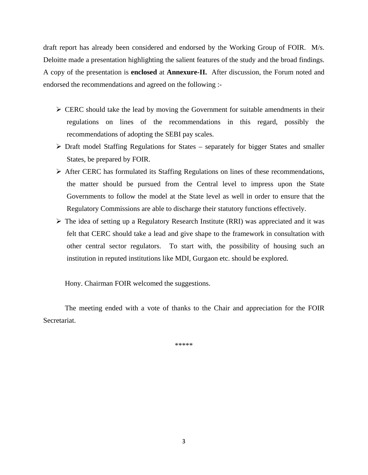draft report has already been considered and endorsed by the Working Group of FOIR. M/s. Deloitte made a presentation highlighting the salient features of the study and the broad findings. A copy of the presentation is **enclosed** at **Annexure-II.** After discussion, the Forum noted and endorsed the recommendations and agreed on the following :-

- $\triangleright$  CERC should take the lead by moving the Government for suitable amendments in their regulations on lines of the recommendations in this regard, possibly the recommendations of adopting the SEBI pay scales.
- $\triangleright$  Draft model Staffing Regulations for States separately for bigger States and smaller States, be prepared by FOIR.
- ¾ After CERC has formulated its Staffing Regulations on lines of these recommendations, the matter should be pursued from the Central level to impress upon the State Governments to follow the model at the State level as well in order to ensure that the Regulatory Commissions are able to discharge their statutory functions effectively.
- $\triangleright$  The idea of setting up a Regulatory Research Institute (RRI) was appreciated and it was felt that CERC should take a lead and give shape to the framework in consultation with other central sector regulators. To start with, the possibility of housing such an institution in reputed institutions like MDI, Gurgaon etc. should be explored.

Hony. Chairman FOIR welcomed the suggestions.

 The meeting ended with a vote of thanks to the Chair and appreciation for the FOIR Secretariat.

\*\*\*\*\*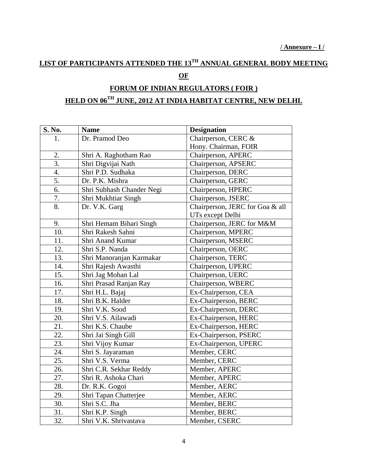#### **LIST OF PARTICIPANTS ATTENDED THE 13TH ANNUAL GENERAL BODY MEETING OF**

#### **FORUM OF INDIAN REGULATORS ( FOIR ) HELD ON 06TH JUNE, 2012 AT INDIA HABITAT CENTRE, NEW DELHI.**

| S. No. | <b>Name</b>               | <b>Designation</b>              |
|--------|---------------------------|---------------------------------|
| 1.     | Dr. Pramod Deo            | Chairperson, CERC &             |
|        |                           | Hony. Chairman, FOIR            |
| 2.     | Shri A. Raghotham Rao     | Chairperson, APERC              |
| 3.     | Shri Digvijai Nath        | Chairperson, APSERC             |
| 4.     | Shri P.D. Sudhaka         | Chairperson, DERC               |
| 5.     | Dr. P.K. Mishra           | Chairperson, GERC               |
| 6.     | Shri Subhash Chander Negi | Chairperson, HPERC              |
| 7.     | Shri Mukhtiar Singh       | Chairperson, JSERC              |
| 8.     | Dr. V.K. Garg             | Chairperson, JERC for Goa & all |
|        |                           | UTs except Delhi                |
| 9.     | Shri Hemam Bihari Singh   | Chairperson, JERC for M&M       |
| 10.    | Shri Rakesh Sahni         | Chairperson, MPERC              |
| 11.    | Shri Anand Kumar          | Chairperson, MSERC              |
| 12.    | Shri S.P. Nanda           | Chairperson, OERC               |
| 13.    | Shri Manoranjan Karmakar  | Chairperson, TERC               |
| 14.    | Shri Rajesh Awasthi       | Chairperson, UPERC              |
| 15.    | Shri Jag Mohan Lal        | Chairperson, UERC               |
| 16.    | Shri Prasad Ranjan Ray    | Chairperson, WBERC              |
| 17.    | Shri H.L. Bajaj           | Ex-Chairperson, CEA             |
| 18.    | Shri B.K. Halder          | Ex-Chairperson, BERC            |
| 19.    | Shri V.K. Sood            | Ex-Chairperson, DERC            |
| 20.    | Shri V.S. Ailawadi        | Ex-Chairperson, HERC            |
| 21.    | Shri K.S. Chaube          | Ex-Chairperson, HERC            |
| 22.    | Shri Jai Singh Gill       | Ex-Chairperson, PSERC           |
| 23.    | Shri Vijoy Kumar          | Ex-Chairperson, UPERC           |
| 24.    | Shri S. Jayaraman         | Member, CERC                    |
| 25.    | Shri V.S. Verma           | Member, CERC                    |
| 26.    | Shri C.R. Sekhar Reddy    | Member, APERC                   |
| 27.    | Shri R. Ashoka Chari      | Member, APERC                   |
| 28.    | Dr. R.K. Gogoi            | Member, AERC                    |
| 29.    | Shri Tapan Chatterjee     | Member, AERC                    |
| 30.    | Shri S.C. Jha             | Member, BERC                    |
| 31.    | Shri K.P. Singh           | Member, BERC                    |
| 32.    | Shri V.K. Shrivastava     | Member, CSERC                   |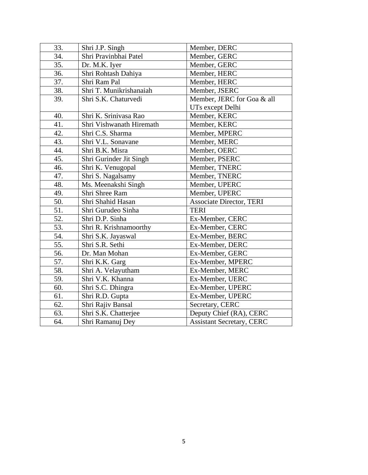| 33. | Shri J.P. Singh          | Member, DERC                     |
|-----|--------------------------|----------------------------------|
| 34. | Shri Pravinbhai Patel    | Member, GERC                     |
| 35. | Dr. M.K. Iyer            | Member, GERC                     |
| 36. | Shri Rohtash Dahiya      | Member, HERC                     |
| 37. | Shri Ram Pal             | Member, HERC                     |
| 38. | Shri T. Munikrishanaiah  | Member, JSERC                    |
| 39. | Shri S.K. Chaturvedi     | Member, JERC for Goa & all       |
|     |                          | UTs except Delhi                 |
| 40. | Shri K. Srinivasa Rao    | Member, KERC                     |
| 41. | Shri Vishwanath Hiremath | Member, KERC                     |
| 42. | Shri C.S. Sharma         | Member, MPERC                    |
| 43. | Shri V.L. Sonavane       | Member, MERC                     |
| 44. | Shri B.K. Misra          | Member, OERC                     |
| 45. | Shri Gurinder Jit Singh  | Member, PSERC                    |
| 46. | Shri K. Venugopal        | Member, TNERC                    |
| 47. | Shri S. Nagalsamy        | Member, TNERC                    |
| 48. | Ms. Meenakshi Singh      | Member, UPERC                    |
| 49. | Shri Shree Ram           | Member, UPERC                    |
| 50. | Shri Shahid Hasan        | <b>Associate Director, TERI</b>  |
| 51. | Shri Gurudeo Sinha       | <b>TERI</b>                      |
| 52. | Shri D.P. Sinha          | Ex-Member, CERC                  |
| 53. | Shri R. Krishnamoorthy   | Ex-Member, CERC                  |
| 54. | Shri S.K. Jayaswal       | Ex-Member, BERC                  |
| 55. | Shri S.R. Sethi          | Ex-Member, DERC                  |
| 56. | Dr. Man Mohan            | Ex-Member, GERC                  |
| 57. | Shri K.K. Garg           | Ex-Member, MPERC                 |
| 58. | Shri A. Velayutham       | Ex-Member, MERC                  |
| 59. | Shri V.K. Khanna         | Ex-Member, UERC                  |
| 60. | Shri S.C. Dhingra        | Ex-Member, UPERC                 |
| 61. | Shri R.D. Gupta          | Ex-Member, UPERC                 |
| 62. | Shri Rajiv Bansal        | Secretary, CERC                  |
| 63. | Shri S.K. Chatterjee     | Deputy Chief (RA), CERC          |
| 64. | Shri Ramanuj Dey         | <b>Assistant Secretary, CERC</b> |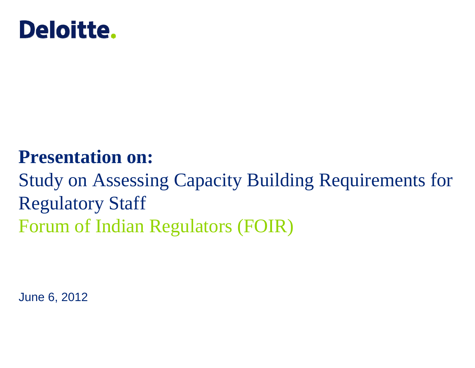

## **Presentation on:**

Study on Assessing Capacity Building Requirements for Regulatory Staff Forum of Indian Regulators (FOIR)

June 6, 2012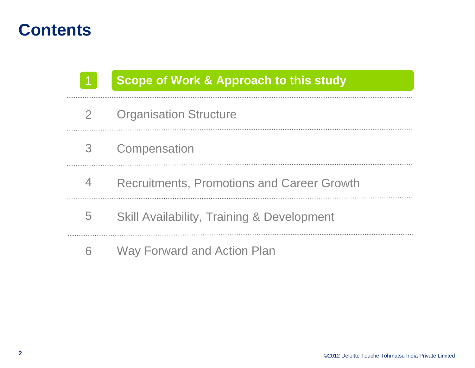1

### **Scope of Work & Approach to this study**

- Organisation Structure 2
- **Compensation** 3
- Recruitments, Promotions and Career Growth 4
- Skill Availability, Training & Development 5
- 6Way Forward and Action Plan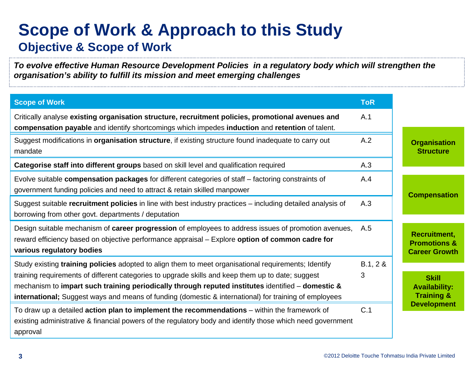## **Scope of Work & Approach to this Study Objective & Scope of Work**

*To evolve effective Human Resource Development Policies in a regulatory body which will strengthen the organisation's ability to fulfill its mission and meet emerging challenges*

| <b>Scope of Work</b>                                                                                                                                                                                                                                                                                                                                                                                                                 | <b>ToR</b>    |                                                                        |
|--------------------------------------------------------------------------------------------------------------------------------------------------------------------------------------------------------------------------------------------------------------------------------------------------------------------------------------------------------------------------------------------------------------------------------------|---------------|------------------------------------------------------------------------|
| Critically analyse existing organisation structure, recruitment policies, promotional avenues and<br>compensation payable and identify shortcomings which impedes induction and retention of talent.                                                                                                                                                                                                                                 | A.1           |                                                                        |
| Suggest modifications in <b>organisation structure</b> , if existing structure found inadequate to carry out<br>mandate                                                                                                                                                                                                                                                                                                              | A.2           | <b>Organisation</b><br><b>Structure</b>                                |
| Categorise staff into different groups based on skill level and qualification required                                                                                                                                                                                                                                                                                                                                               | A.3           |                                                                        |
| Evolve suitable compensation packages for different categories of staff - factoring constraints of<br>government funding policies and need to attract & retain skilled manpower                                                                                                                                                                                                                                                      | A.4           | <b>Compensation</b>                                                    |
| Suggest suitable recruitment policies in line with best industry practices - including detailed analysis of<br>borrowing from other govt. departments / deputation                                                                                                                                                                                                                                                                   | A.3           |                                                                        |
| Design suitable mechanism of career progression of employees to address issues of promotion avenues,<br>reward efficiency based on objective performance appraisal - Explore option of common cadre for<br>various regulatory bodies                                                                                                                                                                                                 | A.5           | <b>Recruitment,</b><br><b>Promotions &amp;</b><br><b>Career Growth</b> |
| Study existing training policies adopted to align them to meet organisational requirements; Identify<br>training requirements of different categories to upgrade skills and keep them up to date; suggest<br>mechanism to impart such training periodically through reputed institutes identified $-$ domestic $\&$<br><b>international</b> ; Suggest ways and means of funding (domestic & international) for training of employees | B.1, 2 &<br>3 | <b>Skill</b><br><b>Availability:</b><br><b>Training &amp;</b>          |
| To draw up a detailed <b>action plan to implement the recommendations</b> – within the framework of<br>existing administrative & financial powers of the regulatory body and identify those which need government<br>approval                                                                                                                                                                                                        | C.1           | <b>Development</b>                                                     |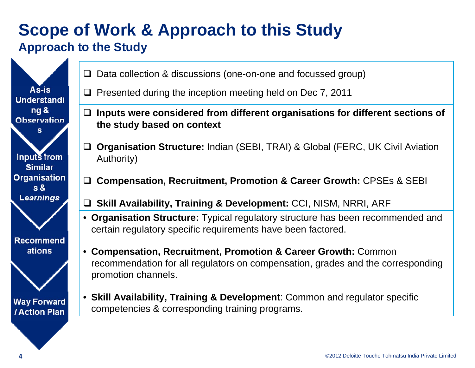## **Scope of Work & Approach to this Study Approach to the Study**



- $\Box$  Data collection & discussions (one-on-one and focussed group)
- $\square$  Presented during the inception meeting held on Dec 7, 2011
- **Inputs were considered from different organisations for different sections of the study based on context**
- **Organisation Structure:** Indian (SEBI, TRAI) & Global (FERC, UK Civil Aviation Authority)
- **Compensation, Recruitment, Promotion & Career Growth:** CPSEs & SEBI
- **Skill Availability, Training & Development:** CCI, NISM, NRRI, ARF
- **Organisation Structure:** Typical regulatory structure has been recommended and certain regulatory specific requirements have been factored.
- **Compensation, Recruitment, Promotion & Career Growth:** Common recommendation for all regulators on compensation, grades and the corresponding promotion channels.
- **Skill Availability, Training & Development**: Common and regulator specific competencies & corresponding training programs.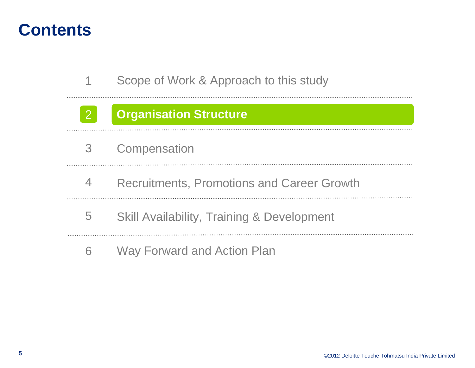2

Scope of Work & Approach to this study 1

#### **Organisation Structure**

- **Compensation** 3
- Recruitments, Promotions and Career Growth 4
- Skill Availability, Training & Development 5
- 6Way Forward and Action Plan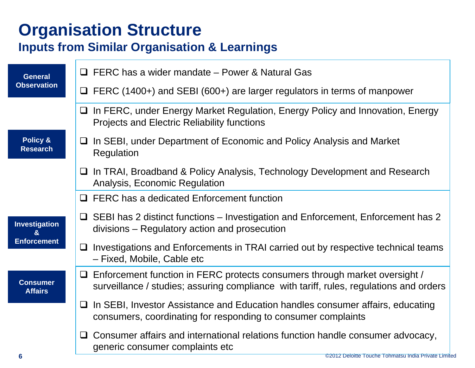## **Organisation Structure**

#### **Inputs from Similar Organisation & Learnings**

| <b>General</b>                    | $\Box$ FERC has a wider mandate – Power & Natural Gas                                                                                                                       |
|-----------------------------------|-----------------------------------------------------------------------------------------------------------------------------------------------------------------------------|
| <b>Observation</b>                | $\Box$ FERC (1400+) and SEBI (600+) are larger regulators in terms of manpower                                                                                              |
|                                   | □ In FERC, under Energy Market Regulation, Energy Policy and Innovation, Energy<br><b>Projects and Electric Reliability functions</b>                                       |
| Policy &<br><b>Research</b>       | $\Box$ In SEBI, under Department of Economic and Policy Analysis and Market<br>Regulation                                                                                   |
|                                   | In TRAI, Broadband & Policy Analysis, Technology Development and Research<br>$\Box$<br>Analysis, Economic Regulation                                                        |
|                                   | $\Box$ FERC has a dedicated Enforcement function                                                                                                                            |
| Investigation                     | $\Box$ SEBI has 2 distinct functions – Investigation and Enforcement, Enforcement has 2<br>divisions – Regulatory action and prosecution                                    |
| <b>Enforcement</b>                | $\Box$ Investigations and Enforcements in TRAI carried out by respective technical teams<br>- Fixed, Mobile, Cable etc                                                      |
| <b>Consumer</b><br><b>Affairs</b> | $\Box$ Enforcement function in FERC protects consumers through market oversight /<br>surveillance / studies; assuring compliance with tariff, rules, regulations and orders |
|                                   | In SEBI, Investor Assistance and Education handles consumer affairs, educating<br>u.<br>consumers, coordinating for responding to consumer complaints                       |
|                                   | Consumer affairs and international relations function handle consumer advocacy,<br>⊔<br>generic consumer complaints etc                                                     |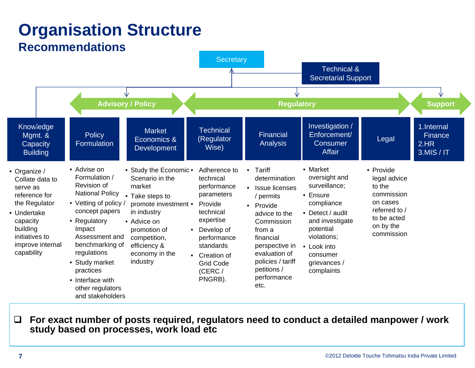## **Organisation Structure**

#### **Recommendations**



 $\Box$  **For exact number of posts required, regulators need to conduct a detailed manpower / work study based on processes, work load etc**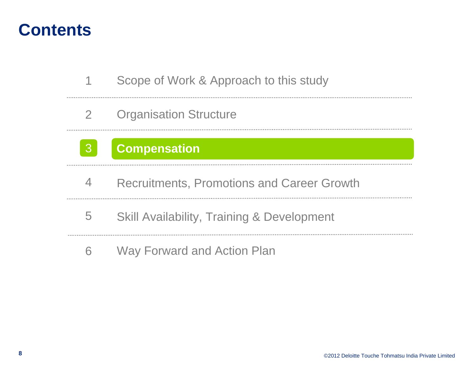3

- Scope of Work & Approach to this study 1
- Organisation Structure 2

## **Compensation**

- Recruitments, Promotions and Career Growth 4
- Skill Availability, Training & Development 5
- 6Way Forward and Action Plan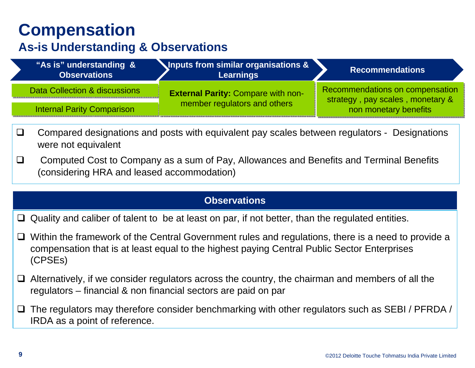## **Compensation**

#### **As-is Understanding & Observations**

| "As is" understanding &<br><b>Observations</b> | <b>Inputs from similar organisations &amp;</b><br><b>Learnings</b> | <b>Recommendations</b>                                              |
|------------------------------------------------|--------------------------------------------------------------------|---------------------------------------------------------------------|
| Data Collection & discussions                  | <b>External Parity: Compare with non-</b>                          | Recommendations on compensation<br>strategy, pay scales, monetary & |
| <b>Internal Parity Comparison</b>              | member regulators and others                                       | non monetary benefits                                               |

- $\Box$  Compared designations and posts with equivalent pay scales between regulators - Designations were not equivalent
- $\Box$  Computed Cost to Company as a sum of Pay, Allowances and Benefits and Terminal Benefits (considering HRA and leased accommodation)

#### **Observations**

- $\Box$  Quality and caliber of talent to be at least on par, if not better, than the regulated entities.
- $\Box$  Within the framework of the Central Government rules and regulations, there is a need to provide a compensation that is at least equal to the highest paying Central Public Sector Enterprises (CPSEs)
- $\Box$  Alternatively, if we consider regulators across the country, the chairman and members of all the regulators – financial & non financial sectors are paid on par
- $\Box$  The regulators may therefore consider benchmarking with other regulators such as SEBI / PFRDA / IRDA as a point of reference.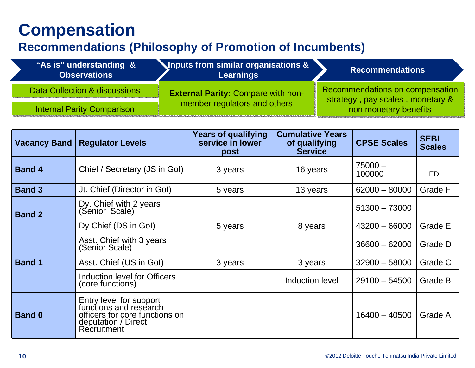## **Compensation**

#### **Recommendations (Philosophy of Promotion of Incumbents)**

| "As is" understanding &<br><b>Observations</b> | <b>Inputs from similar organisations &amp;</b><br><b>Learnings</b> | <b>Recommendations</b>                                              |  |
|------------------------------------------------|--------------------------------------------------------------------|---------------------------------------------------------------------|--|
| Data Collection & discussions                  | <b>External Parity: Compare with non-</b>                          | Recommendations on compensation<br>strategy, pay scales, monetary & |  |
| <b>Internal Parity Comparison</b>              | member regulators and others                                       | non monetary benefits                                               |  |

| <b>Vacancy Band</b> | <b>Regulator Levels</b>                                                                                                   | <b>Years of qualifying</b><br>service in lower<br>post | <b>Cumulative Years</b><br>of qualifying<br><b>Service</b> | <b>CPSE Scales</b>  | <b>SEBI</b><br><b>Scales</b> |
|---------------------|---------------------------------------------------------------------------------------------------------------------------|--------------------------------------------------------|------------------------------------------------------------|---------------------|------------------------------|
| <b>Band 4</b>       | Chief / Secretary (JS in Gol)                                                                                             | 3 years                                                | 16 years                                                   | $75000 -$<br>100000 | ED.                          |
| <b>Band 3</b>       | Jt. Chief (Director in Gol)                                                                                               | 5 years                                                | 13 years                                                   | $62000 - 80000$     | Grade F                      |
| <b>Band 2</b>       | Dy. Chief with 2 years<br>(Senior Scale)                                                                                  |                                                        |                                                            | $51300 - 73000$     |                              |
|                     | Dy Chief (DS in Gol)                                                                                                      | 5 years                                                | 8 years                                                    | $43200 - 66000$     | Grade E                      |
|                     | Asst. Chief with 3 years<br>(Senior Scale)                                                                                |                                                        |                                                            | $36600 - 62000$     | Grade D                      |
| <b>Band 1</b>       | Asst. Chief (US in Gol)                                                                                                   | 3 years                                                | 3 years                                                    | $32900 - 58000$     | Grade C                      |
|                     | Induction level for Officers<br>(core functions)                                                                          |                                                        | Induction level                                            | $29100 - 54500$     | Grade B                      |
| <b>Band 0</b>       | Entry level for support<br>functions and research<br>officers for core functions on<br>deputation / Direct<br>Recruitment |                                                        |                                                            | $16400 - 40500$     | Grade A                      |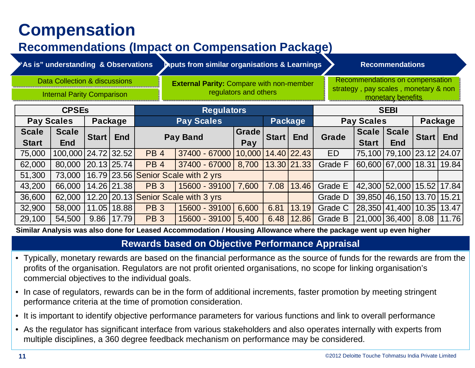## **Compensation**

#### **Recommendations (Impact on Compensation Package)**

| "As is" understanding & Observations                                                                                                                      |                     |                 |                | aputs from similar organisations & Learnings |                                     |                    |                                                                         |                   | <b>Recommendations</b> |                   |                           |       |            |  |
|-----------------------------------------------------------------------------------------------------------------------------------------------------------|---------------------|-----------------|----------------|----------------------------------------------|-------------------------------------|--------------------|-------------------------------------------------------------------------|-------------------|------------------------|-------------------|---------------------------|-------|------------|--|
| <b>Data Collection &amp; discussions</b><br><b>External Parity: Compare with non-member</b><br>regulators and others<br><b>Internal Parity Comparison</b> |                     |                 |                |                                              |                                     |                    | Recommendations on compensation<br>strategy, pay scales, monetary & non | monetary benefits |                        |                   |                           |       |            |  |
| <b>CPSEs</b>                                                                                                                                              |                     |                 |                |                                              | <b>Regulators</b>                   |                    |                                                                         |                   |                        |                   | <b>SEBI</b>               |       |            |  |
|                                                                                                                                                           | <b>Pay Scales</b>   | Package         |                |                                              | <b>Pay Scales</b>                   |                    |                                                                         | <b>Package</b>    |                        | <b>Pay Scales</b> |                           |       | Package    |  |
| <b>Scale</b>                                                                                                                                              | <b>Scale</b>        | Start           | <b>End</b>     |                                              | <b>Pay Band</b>                     | Grade              | Start                                                                   | <b>End</b>        | Grade                  | Scale Scale       |                           | Start | <b>End</b> |  |
| <b>Start</b>                                                                                                                                              | <b>End</b>          |                 |                |                                              |                                     | Pay                |                                                                         |                   |                        | <b>Start</b>      | <b>End</b>                |       |            |  |
| 75,000                                                                                                                                                    | 100,000 24.72 32.52 |                 |                | <b>PB4</b>                                   | 37400 - 67000                       | 10,000 14.40 22.43 |                                                                         |                   | <b>ED</b>              |                   | 75,100 79,100 23.12 24.07 |       |            |  |
| 62,000                                                                                                                                                    | 80,000              | $20.13$ $25.74$ |                | PB <sub>4</sub>                              | 37400 - 67000                       | 8,700              |                                                                         | 13.30 21.33       | <b>Grade F</b>         |                   | 60,600 67,000 18.31 19.84 |       |            |  |
| 51,300                                                                                                                                                    | 73,000              |                 |                |                                              | 16.79 23.56 Senior Scale with 2 yrs |                    |                                                                         |                   |                        |                   |                           |       |            |  |
| 43,200                                                                                                                                                    | 66,000              |                 | 14.26 21.38    | <b>PB3</b>                                   | 15600 - 39100                       | 7,600              | 7.08                                                                    | 13.46             | <b>Grade E</b>         |                   | 42,300 52,000 15.52 17.84 |       |            |  |
| 36,600                                                                                                                                                    | 62,000              |                 |                |                                              | 12.20 20.13 Senior Scale with 3 yrs |                    |                                                                         |                   | Grade D                |                   | 39,850 46,150 13.70 15.21 |       |            |  |
| 32,900                                                                                                                                                    | 58,000              | 11.05           | 18.88          | <b>PB3</b>                                   | 15600 - 39100                       | 6,600              | 6.81                                                                    | 13.19             | Grade C                |                   | 28,350 41,400 10.35 13.47 |       |            |  |
| 29,100                                                                                                                                                    | 54,500              |                 | $9.86$   17.79 | <b>PB3</b>                                   | 15600 - 39100                       | 5,400              | 6.48                                                                    | 12.86             | Grade B                |                   | 21,000 36,400 8.08 11.76  |       |            |  |

**Similar Analysis was also done for Leased Accommodation / Housing Allowance where the package went up even higher**

#### **Rewards based on Objective Performance Appraisal**

- Typically, monetary rewards are based on the financial performance as the source of funds for the rewards are from the profits of the organisation. Regulators are not profit oriented organisations, no scope for linking organisation's commercial objectives to the individual goals.
- In case of regulators, rewards can be in the form of additional increments, faster promotion by meeting stringent performance criteria at the time of promotion consideration.
- It is important to identify objective performance parameters for various functions and link to overall performance
- As the regulator has significant interface from various stakeholders and also operates internally with experts from multiple disciplines, a 360 degree feedback mechanism on performance may be considered.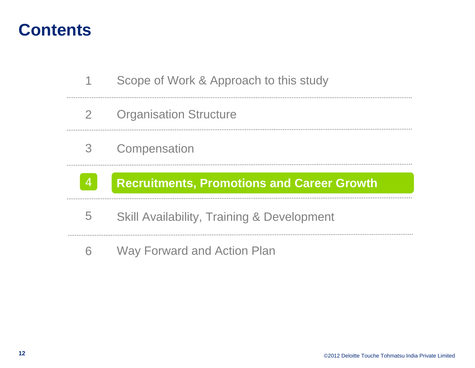- Scope of Work & Approach to this study 1
- Organisation Structure 2
- **Compensation** 3



### **Recruitments, Promotions and Career Growth**

- Skill Availability, Training & Development 5
- 6Way Forward and Action Plan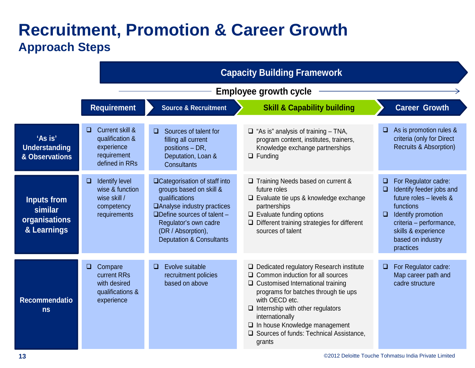### **Recruitment, Promotion & Career Growth Approach Steps**

|                                                               | <b>Capacity Building Framework</b>                                                                     |                                                                                                                                                                                                                                         |                                                                                                                                                                                                                                                                                                                                                              |                                                                                                                                                                                                                               |  |  |
|---------------------------------------------------------------|--------------------------------------------------------------------------------------------------------|-----------------------------------------------------------------------------------------------------------------------------------------------------------------------------------------------------------------------------------------|--------------------------------------------------------------------------------------------------------------------------------------------------------------------------------------------------------------------------------------------------------------------------------------------------------------------------------------------------------------|-------------------------------------------------------------------------------------------------------------------------------------------------------------------------------------------------------------------------------|--|--|
|                                                               | <b>Employee growth cycle</b>                                                                           |                                                                                                                                                                                                                                         |                                                                                                                                                                                                                                                                                                                                                              |                                                                                                                                                                                                                               |  |  |
|                                                               | <b>Requirement</b>                                                                                     | <b>Source &amp; Recruitment</b>                                                                                                                                                                                                         | <b>Skill &amp; Capability building</b>                                                                                                                                                                                                                                                                                                                       | <b>Career Growth</b>                                                                                                                                                                                                          |  |  |
| 'As is'<br><b>Understanding</b><br>& Observations             | <b>Current skill &amp;</b><br>$\Box$<br>qualification &<br>experience<br>requirement<br>defined in RRs | Sources of talent for<br>$\Box$<br>filling all current<br>positions - DR,<br>Deputation, Loan &<br><b>Consultants</b>                                                                                                                   | $\Box$ "As is" analysis of training $-$ TNA,<br>program content, institutes, trainers,<br>Knowledge exchange partnerships<br>$\Box$ Funding                                                                                                                                                                                                                  | As is promotion rules &<br>u.<br>criteria (only for Direct<br>Recruits & Absorption)                                                                                                                                          |  |  |
| <b>Inputs from</b><br>similar<br>organisations<br>& Learnings | Identify level<br>$\Box$<br>wise & function<br>wise skill /<br>competency<br>requirements              | □Categorisation of staff into<br>groups based on skill &<br>qualifications<br>□ Analyse industry practices<br>$\Box$ Define sources of talent $-$<br>Regulator's own cadre<br>(DR / Absorption),<br><b>Deputation &amp; Consultants</b> | □ Training Needs based on current &<br>future roles<br>$\Box$ Evaluate tie ups & knowledge exchange<br>partnerships<br>$\Box$ Evaluate funding options<br>$\Box$ Different training strategies for different<br>sources of talent                                                                                                                            | For Regulator cadre:<br>$\Box$<br>Identify feeder jobs and<br>❏<br>future roles $-$ levels &<br>functions<br>Identify promotion<br>$\Box$<br>criteria - performance,<br>skills & experience<br>based on industry<br>practices |  |  |
| <b>Recommendatio</b><br>ns                                    | $\Box$<br>Compare<br>current RRs<br>with desired<br>qualifications &<br>experience                     | Evolve suitable<br>$\Box$<br>recruitment policies<br>based on above                                                                                                                                                                     | $\Box$ Dedicated regulatory Research institute<br>$\Box$ Common induction for all sources<br>$\Box$ Customised International training<br>programs for batches through tie ups<br>with OECD etc.<br>$\Box$ Internship with other regulators<br>internationally<br>$\Box$ In house Knowledge management<br>□ Sources of funds: Technical Assistance,<br>grants | For Regulator cadre:<br>$\Box$<br>Map career path and<br>cadre structure                                                                                                                                                      |  |  |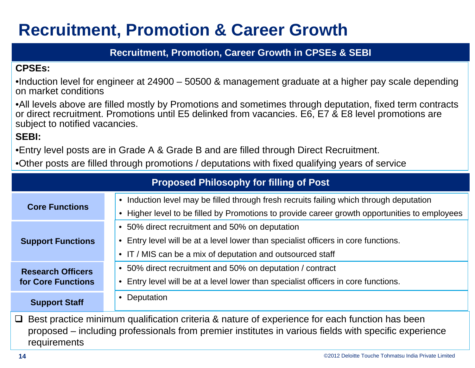## **Recruitment, Promotion & Career Growth**

#### **Recruitment, Promotion, Career Growth in CPSEs & SEBI**

#### **CPSEs:**

•Induction level for engineer at 24900 – 50500 & management graduate at a higher pay scale depending on market conditions

•All levels above are filled mostly by Promotions and sometimes through deputation, fixed term contracts or direct recruitment. Promotions until E5 delinked from vacancies. E6, E7 & E8 level promotions are subject to notified vacancies.

**SEBI:**

•Entry level posts are in Grade A & Grade B and are filled through Direct Recruitment.

•Other posts are filled through promotions / deputations with fixed qualifying years of service

|                                                | <b>Proposed Philosophy for filling of Post</b>                                                                                                                                                                 |
|------------------------------------------------|----------------------------------------------------------------------------------------------------------------------------------------------------------------------------------------------------------------|
|                                                | • Induction level may be filled through fresh recruits failing which through deputation                                                                                                                        |
| <b>Core Functions</b>                          | Higher level to be filled by Promotions to provide career growth opportunities to employees                                                                                                                    |
|                                                | • 50% direct recruitment and 50% on deputation                                                                                                                                                                 |
| <b>Support Functions</b>                       | Entry level will be at a level lower than specialist officers in core functions.<br>$\bullet$                                                                                                                  |
|                                                | • IT / MIS can be a mix of deputation and outsourced staff                                                                                                                                                     |
| <b>Research Officers</b><br>for Core Functions | • 50% direct recruitment and 50% on deputation / contract                                                                                                                                                      |
|                                                | Entry level will be at a level lower than specialist officers in core functions.<br>$\bullet$                                                                                                                  |
| <b>Support Staff</b>                           | Deputation<br>$\bullet$                                                                                                                                                                                        |
|                                                | $\Box$ Best practice minimum qualification criteria & nature of experience for each function has been<br>proposed – including professionals from premier institutes in various fields with specific experience |

requirements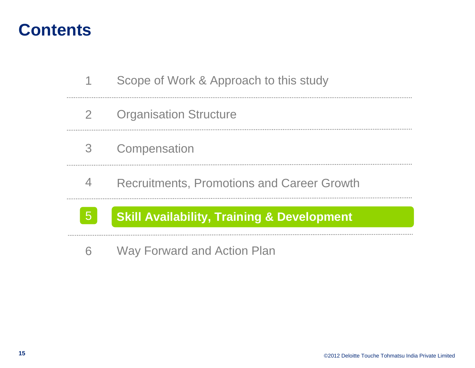| 5 <sup>1</sup> | <b>Skill Availability, Training &amp; Development</b> |
|----------------|-------------------------------------------------------|
| 4              | <b>Recruitments, Promotions and Career Growth</b>     |
| 3 <sup>7</sup> | Compensation                                          |
| $\overline{2}$ | <b>Organisation Structure</b>                         |
|                | Scope of Work & Approach to this study                |

6Way Forward and Action Plan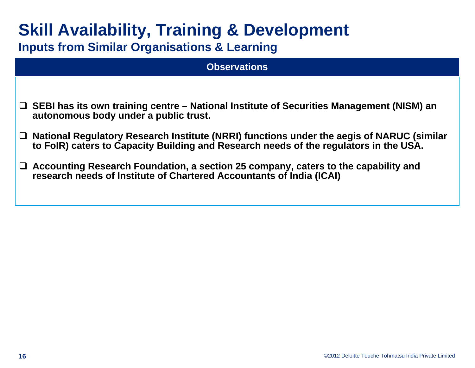| <b>Skill Availability, Training &amp; Development</b> |  |  |
|-------------------------------------------------------|--|--|
|-------------------------------------------------------|--|--|

**Inputs from Similar Organisations & Learning**

| <b>Observations</b>                                                                                                                                                                       |
|-------------------------------------------------------------------------------------------------------------------------------------------------------------------------------------------|
|                                                                                                                                                                                           |
| $\Box$ SEBI has its own training centre – National Institute of Securities Management (NISM) an<br>autonomous body under a public trust.                                                  |
| $\Box$ National Regulatory Research Institute (NRRI) functions under the aegis of NARUC (similar<br>to FoIR) caters to Capacity Building and Research needs of the regulators in the USA. |
| $\Box$ Accounting Research Foundation, a section 25 company, caters to the capability and<br>research needs of Institute of Chartered Accountants of India (ICAI)                         |
|                                                                                                                                                                                           |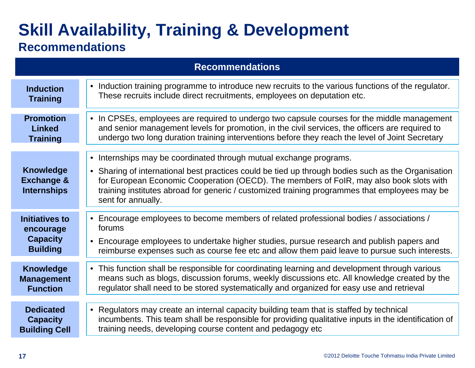|                                                                          | <b>Recommendations</b>                                                                                                                                                                                                                                                                                                                                                                     |
|--------------------------------------------------------------------------|--------------------------------------------------------------------------------------------------------------------------------------------------------------------------------------------------------------------------------------------------------------------------------------------------------------------------------------------------------------------------------------------|
| <b>Induction</b><br><b>Training</b>                                      | Induction training programme to introduce new recruits to the various functions of the regulator.<br>$\bullet$<br>These recruits include direct recruitments, employees on deputation etc.                                                                                                                                                                                                 |
| <b>Promotion</b><br><b>Linked</b><br><b>Training</b>                     | • In CPSEs, employees are required to undergo two capsule courses for the middle management<br>and senior management levels for promotion, in the civil services, the officers are required to<br>undergo two long duration training interventions before they reach the level of Joint Secretary                                                                                          |
| <b>Knowledge</b><br><b>Exchange &amp;</b><br><b>Internships</b>          | • Internships may be coordinated through mutual exchange programs.<br>• Sharing of international best practices could be tied up through bodies such as the Organisation<br>for European Economic Cooperation (OECD). The members of FoIR, may also book slots with<br>training institutes abroad for generic / customized training programmes that employees may be<br>sent for annually. |
| <b>Initiatives to</b><br>encourage<br><b>Capacity</b><br><b>Building</b> | Encourage employees to become members of related professional bodies / associations /<br>$\bullet$<br>forums<br>Encourage employees to undertake higher studies, pursue research and publish papers and<br>$\bullet$<br>reimburse expenses such as course fee etc and allow them paid leave to pursue such interests.                                                                      |
| <b>Knowledge</b><br><b>Management</b><br><b>Function</b>                 | • This function shall be responsible for coordinating learning and development through various<br>means such as blogs, discussion forums, weekly discussions etc. All knowledge created by the<br>regulator shall need to be stored systematically and organized for easy use and retrieval                                                                                                |
| <b>Dedicated</b><br><b>Capacity</b><br><b>Building Cell</b>              | Regulators may create an internal capacity building team that is staffed by technical<br>$\bullet$<br>incumbents. This team shall be responsible for providing qualitative inputs in the identification of<br>training needs, developing course content and pedagogy etc                                                                                                                   |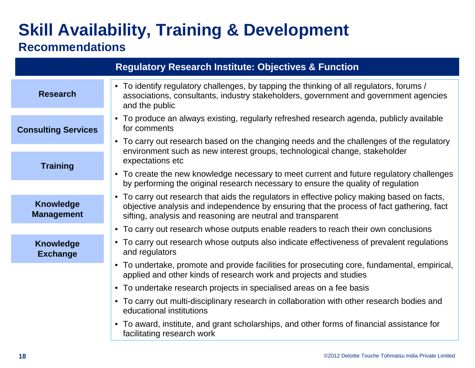|                                               | <b>Regulatory Research Institute: Objectives &amp; Function</b>                                                                                                                                                                                        |
|-----------------------------------------------|--------------------------------------------------------------------------------------------------------------------------------------------------------------------------------------------------------------------------------------------------------|
| <b>Research</b>                               | • To identify regulatory challenges, by tapping the thinking of all regulators, forums /<br>associations, consultants, industry stakeholders, government and government agencies<br>and the public                                                     |
| <b>Consulting Services</b><br><b>Training</b> | • To produce an always existing, regularly refreshed research agenda, publicly available<br>for comments                                                                                                                                               |
|                                               | • To carry out research based on the changing needs and the challenges of the regulatory<br>environment such as new interest groups, technological change, stakeholder<br>expectations etc                                                             |
|                                               | • To create the new knowledge necessary to meet current and future regulatory challenges<br>by performing the original research necessary to ensure the quality of regulation                                                                          |
| <b>Knowledge</b><br><b>Management</b>         | • To carry out research that aids the regulators in effective policy making based on facts,<br>objective analysis and independence by ensuring that the process of fact gathering, fact<br>sifting, analysis and reasoning are neutral and transparent |
|                                               | • To carry out research whose outputs enable readers to reach their own conclusions                                                                                                                                                                    |
| <b>Knowledge</b><br><b>Exchange</b>           | • To carry out research whose outputs also indicate effectiveness of prevalent regulations<br>and regulators                                                                                                                                           |
|                                               | • To undertake, promote and provide facilities for prosecuting core, fundamental, empirical,<br>applied and other kinds of research work and projects and studies                                                                                      |
|                                               | • To undertake research projects in specialised areas on a fee basis                                                                                                                                                                                   |
|                                               | • To carry out multi-disciplinary research in collaboration with other research bodies and<br>educational institutions                                                                                                                                 |
|                                               | • To award, institute, and grant scholarships, and other forms of financial assistance for<br>facilitating research work                                                                                                                               |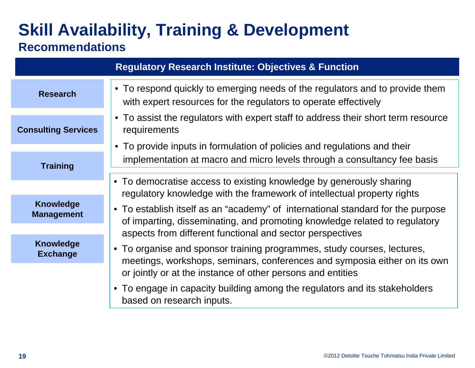|                                       | <b>Regulatory Research Institute: Objectives &amp; Function</b>                                                                                               |  |
|---------------------------------------|---------------------------------------------------------------------------------------------------------------------------------------------------------------|--|
| <b>Research</b>                       | • To respond quickly to emerging needs of the regulators and to provide them<br>with expert resources for the regulators to operate effectively               |  |
| <b>Consulting Services</b>            | • To assist the regulators with expert staff to address their short term resource<br>requirements                                                             |  |
|                                       | • To provide inputs in formulation of policies and regulations and their                                                                                      |  |
| <b>Training</b>                       | implementation at macro and micro levels through a consultancy fee basis                                                                                      |  |
|                                       |                                                                                                                                                               |  |
|                                       | • To democratise access to existing knowledge by generously sharing<br>regulatory knowledge with the framework of intellectual property rights                |  |
| <b>Knowledge</b><br><b>Management</b> | • To establish itself as an "academy" of international standard for the purpose<br>of imparting, disseminating, and promoting knowledge related to regulatory |  |
|                                       | aspects from different functional and sector perspectives                                                                                                     |  |
| <b>Knowledge</b><br><b>Exchange</b>   | • To organise and sponsor training programmes, study courses, lectures,<br>meetings, workshops, seminars, conferences and symposia either on its own          |  |
|                                       | or jointly or at the instance of other persons and entities                                                                                                   |  |
|                                       | • To engage in capacity building among the regulators and its stakeholders<br>based on research inputs.                                                       |  |
|                                       |                                                                                                                                                               |  |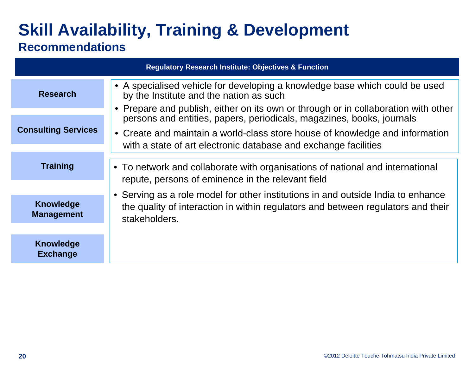| <b>Regulatory Research Institute: Objectives &amp; Function</b> |                                                                                                                                                                                       |  |
|-----------------------------------------------------------------|---------------------------------------------------------------------------------------------------------------------------------------------------------------------------------------|--|
| <b>Research</b>                                                 | • A specialised vehicle for developing a knowledge base which could be used<br>by the Institute and the nation as such                                                                |  |
|                                                                 | • Prepare and publish, either on its own or through or in collaboration with other<br>persons and entities, papers, periodicals, magazines, books, journals                           |  |
| <b>Consulting Services</b>                                      | • Create and maintain a world-class store house of knowledge and information<br>with a state of art electronic database and exchange facilities                                       |  |
|                                                                 |                                                                                                                                                                                       |  |
| <b>Training</b>                                                 | • To network and collaborate with organisations of national and international<br>repute, persons of eminence in the relevant field                                                    |  |
|                                                                 |                                                                                                                                                                                       |  |
| <b>Knowledge</b><br><b>Management</b>                           | • Serving as a role model for other institutions in and outside India to enhance<br>the quality of interaction in within regulators and between regulators and their<br>stakeholders. |  |
|                                                                 |                                                                                                                                                                                       |  |
| <b>Knowledge</b><br><b>Exchange</b>                             |                                                                                                                                                                                       |  |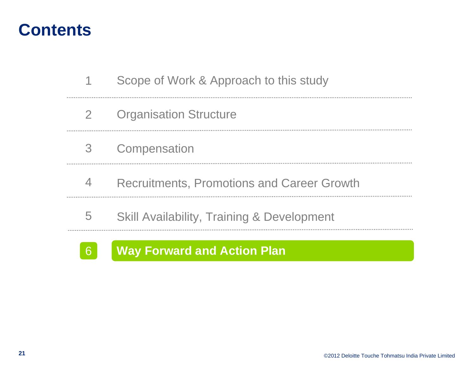|                | Scope of Work & Approach to this study                |
|----------------|-------------------------------------------------------|
| $\mathbf{2}$   | <b>Organisation Structure</b>                         |
| 3 <sup>7</sup> | Compensation                                          |
| 4              | <b>Recruitments, Promotions and Career Growth</b>     |
| 5              | <b>Skill Availability, Training &amp; Development</b> |



### **Way Forward and Action Plan**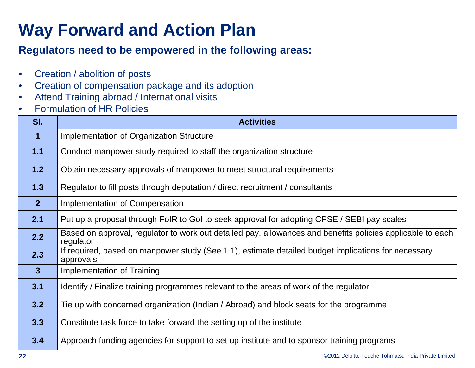## **Way Forward and Action Plan**

#### **Regulators need to be empowered in the following areas:**

- $\bullet$ Creation / abolition of posts
- $\bullet$ Creation of compensation package and its adoption
- $\bullet$ Attend Training abroad / International visits
- •Formulation of HR Policies

| SI.            | <b>Activities</b>                                                                                                       |
|----------------|-------------------------------------------------------------------------------------------------------------------------|
| $\mathbf 1$    | <b>Implementation of Organization Structure</b>                                                                         |
| 1.1            | Conduct manpower study required to staff the organization structure                                                     |
| 1.2            | Obtain necessary approvals of manpower to meet structural requirements                                                  |
| 1.3            | Regulator to fill posts through deputation / direct recruitment / consultants                                           |
| 2 <sup>2</sup> | <b>Implementation of Compensation</b>                                                                                   |
| 2.1            | Put up a proposal through FoIR to GoI to seek approval for adopting CPSE / SEBI pay scales                              |
| 2.2            | Based on approval, regulator to work out detailed pay, allowances and benefits policies applicable to each<br>regulator |
| 2.3            | If required, based on manpower study (See 1.1), estimate detailed budget implications for necessary<br>approvals        |
| $\overline{3}$ | <b>Implementation of Training</b>                                                                                       |
| 3.1            | Identify / Finalize training programmes relevant to the areas of work of the regulator                                  |
| 3.2            | Tie up with concerned organization (Indian / Abroad) and block seats for the programme                                  |
| 3.3            | Constitute task force to take forward the setting up of the institute                                                   |
| 3.4            | Approach funding agencies for support to set up institute and to sponsor training programs                              |